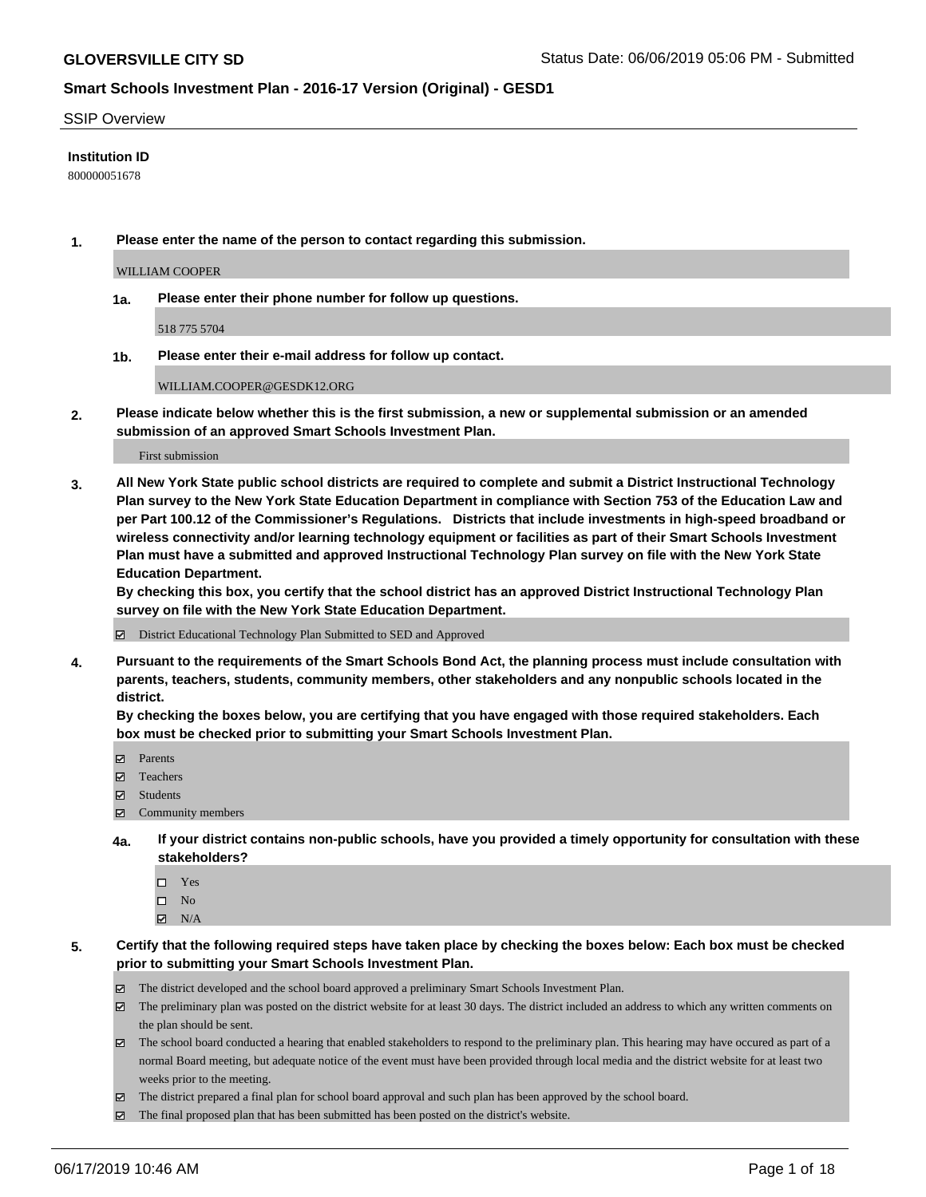#### SSIP Overview

#### **Institution ID**

800000051678

**1. Please enter the name of the person to contact regarding this submission.**

WILLIAM COOPER

**1a. Please enter their phone number for follow up questions.**

518 775 5704

**1b. Please enter their e-mail address for follow up contact.**

WILLIAM.COOPER@GESDK12.ORG

**2. Please indicate below whether this is the first submission, a new or supplemental submission or an amended submission of an approved Smart Schools Investment Plan.**

#### First submission

**3. All New York State public school districts are required to complete and submit a District Instructional Technology Plan survey to the New York State Education Department in compliance with Section 753 of the Education Law and per Part 100.12 of the Commissioner's Regulations. Districts that include investments in high-speed broadband or wireless connectivity and/or learning technology equipment or facilities as part of their Smart Schools Investment Plan must have a submitted and approved Instructional Technology Plan survey on file with the New York State Education Department.** 

**By checking this box, you certify that the school district has an approved District Instructional Technology Plan survey on file with the New York State Education Department.**

District Educational Technology Plan Submitted to SED and Approved

**4. Pursuant to the requirements of the Smart Schools Bond Act, the planning process must include consultation with parents, teachers, students, community members, other stakeholders and any nonpublic schools located in the district.** 

**By checking the boxes below, you are certifying that you have engaged with those required stakeholders. Each box must be checked prior to submitting your Smart Schools Investment Plan.**

- Parents
- Teachers
- Students
- Community members
- **4a. If your district contains non-public schools, have you provided a timely opportunity for consultation with these stakeholders?**
	- □ Yes
	- $\square$  No
	- $\nabla$  N/A
- **5. Certify that the following required steps have taken place by checking the boxes below: Each box must be checked prior to submitting your Smart Schools Investment Plan.**
	- The district developed and the school board approved a preliminary Smart Schools Investment Plan.
	- $\boxtimes$  The preliminary plan was posted on the district website for at least 30 days. The district included an address to which any written comments on the plan should be sent.
	- $\boxtimes$  The school board conducted a hearing that enabled stakeholders to respond to the preliminary plan. This hearing may have occured as part of a normal Board meeting, but adequate notice of the event must have been provided through local media and the district website for at least two weeks prior to the meeting.
	- The district prepared a final plan for school board approval and such plan has been approved by the school board.
	- $\boxtimes$  The final proposed plan that has been submitted has been posted on the district's website.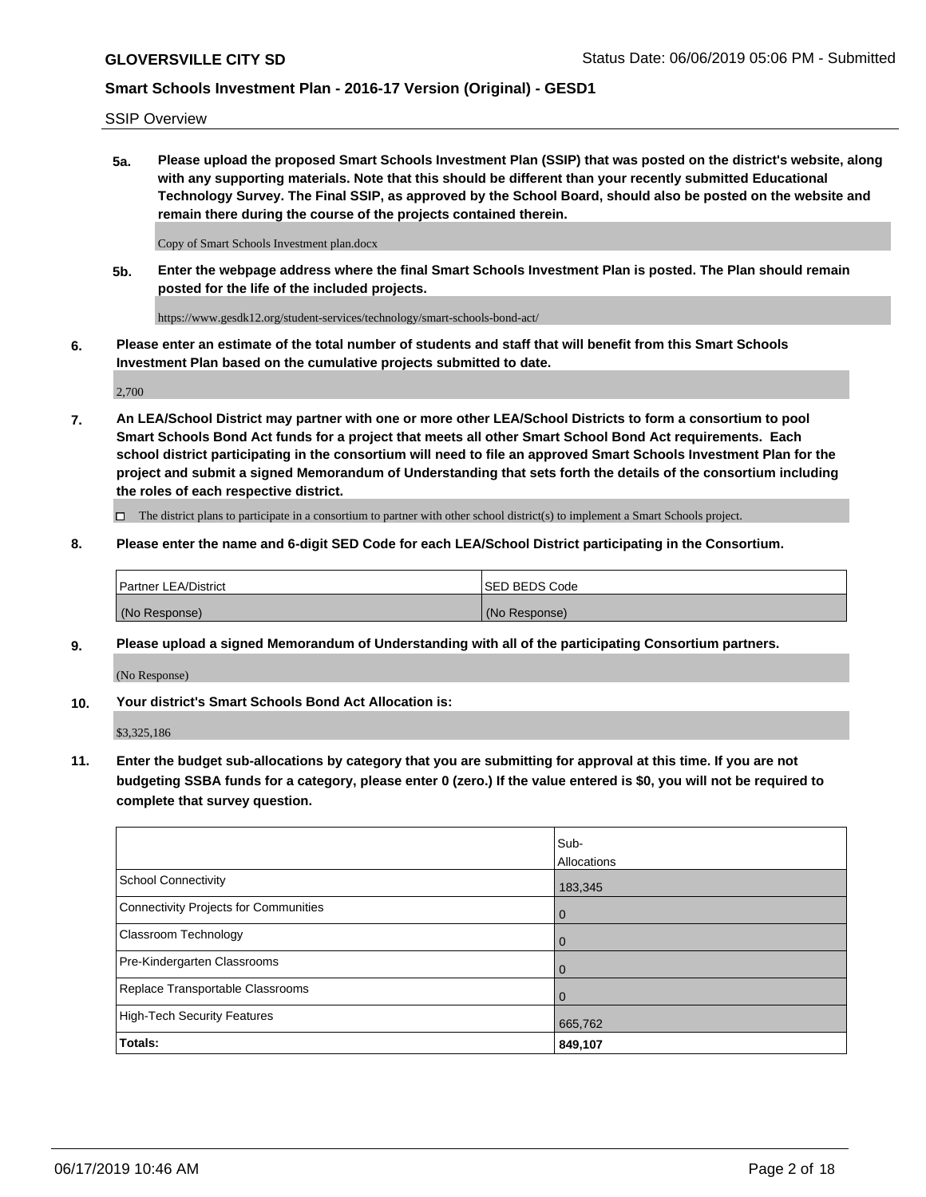SSIP Overview

**5a. Please upload the proposed Smart Schools Investment Plan (SSIP) that was posted on the district's website, along with any supporting materials. Note that this should be different than your recently submitted Educational Technology Survey. The Final SSIP, as approved by the School Board, should also be posted on the website and remain there during the course of the projects contained therein.**

Copy of Smart Schools Investment plan.docx

**5b. Enter the webpage address where the final Smart Schools Investment Plan is posted. The Plan should remain posted for the life of the included projects.**

https://www.gesdk12.org/student-services/technology/smart-schools-bond-act/

**6. Please enter an estimate of the total number of students and staff that will benefit from this Smart Schools Investment Plan based on the cumulative projects submitted to date.**

2,700

**7. An LEA/School District may partner with one or more other LEA/School Districts to form a consortium to pool Smart Schools Bond Act funds for a project that meets all other Smart School Bond Act requirements. Each school district participating in the consortium will need to file an approved Smart Schools Investment Plan for the project and submit a signed Memorandum of Understanding that sets forth the details of the consortium including the roles of each respective district.**

 $\Box$  The district plans to participate in a consortium to partner with other school district(s) to implement a Smart Schools project.

### **8. Please enter the name and 6-digit SED Code for each LEA/School District participating in the Consortium.**

| <b>Partner LEA/District</b> | <b>ISED BEDS Code</b> |
|-----------------------------|-----------------------|
| (No Response)               | (No Response)         |

#### **9. Please upload a signed Memorandum of Understanding with all of the participating Consortium partners.**

(No Response)

**10. Your district's Smart Schools Bond Act Allocation is:**

\$3,325,186

**11. Enter the budget sub-allocations by category that you are submitting for approval at this time. If you are not budgeting SSBA funds for a category, please enter 0 (zero.) If the value entered is \$0, you will not be required to complete that survey question.**

|                                       | Sub-<br>Allocations |
|---------------------------------------|---------------------|
| School Connectivity                   | 183,345             |
| Connectivity Projects for Communities | $\mathbf 0$         |
| <b>Classroom Technology</b>           | $\overline{0}$      |
| Pre-Kindergarten Classrooms           | $\overline{0}$      |
| Replace Transportable Classrooms      | $\Omega$            |
| High-Tech Security Features           | 665,762             |
| Totals:                               | 849,107             |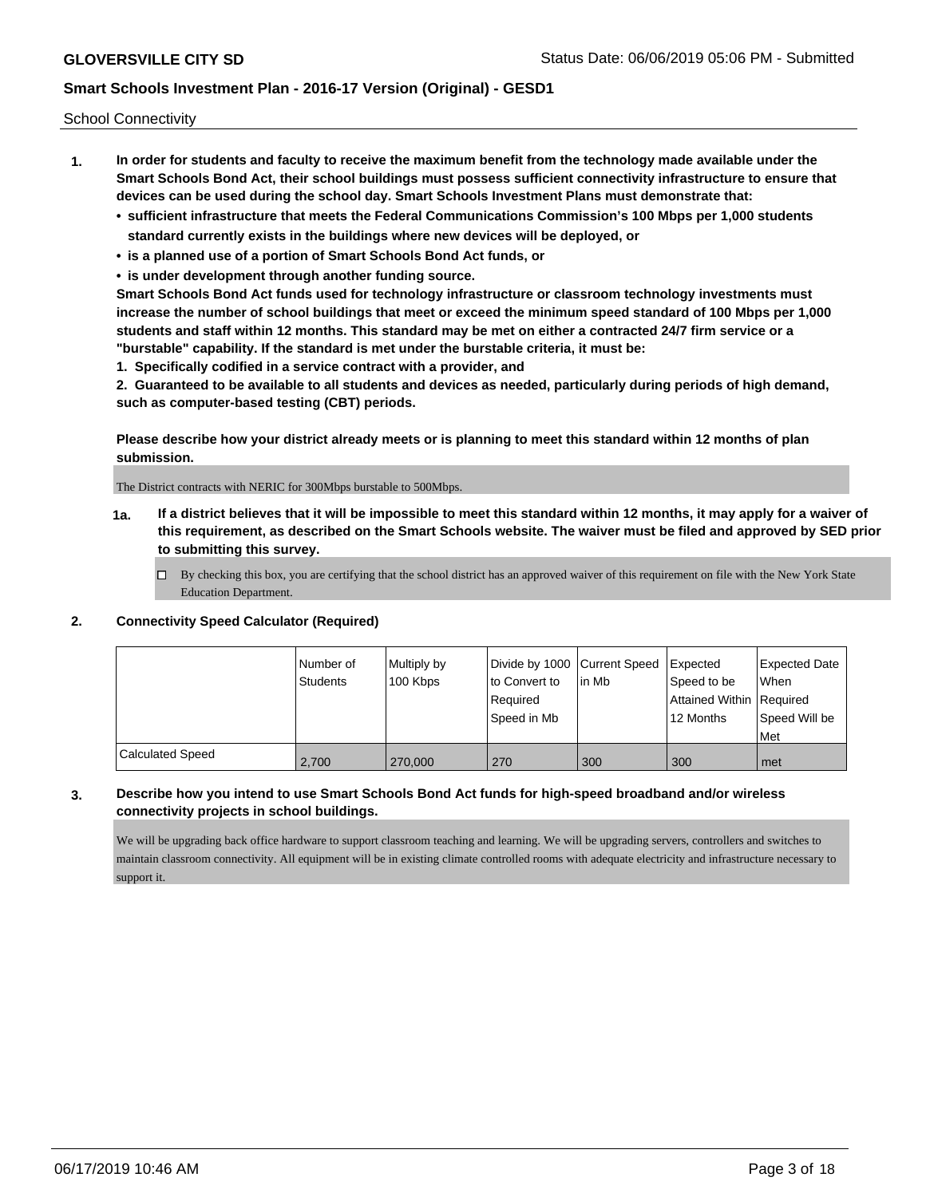School Connectivity

- **1. In order for students and faculty to receive the maximum benefit from the technology made available under the Smart Schools Bond Act, their school buildings must possess sufficient connectivity infrastructure to ensure that devices can be used during the school day. Smart Schools Investment Plans must demonstrate that:**
	- **• sufficient infrastructure that meets the Federal Communications Commission's 100 Mbps per 1,000 students standard currently exists in the buildings where new devices will be deployed, or**
	- **• is a planned use of a portion of Smart Schools Bond Act funds, or**
	- **• is under development through another funding source.**

**Smart Schools Bond Act funds used for technology infrastructure or classroom technology investments must increase the number of school buildings that meet or exceed the minimum speed standard of 100 Mbps per 1,000 students and staff within 12 months. This standard may be met on either a contracted 24/7 firm service or a "burstable" capability. If the standard is met under the burstable criteria, it must be:**

**1. Specifically codified in a service contract with a provider, and**

**2. Guaranteed to be available to all students and devices as needed, particularly during periods of high demand, such as computer-based testing (CBT) periods.**

**Please describe how your district already meets or is planning to meet this standard within 12 months of plan submission.**

The District contracts with NERIC for 300Mbps burstable to 500Mbps.

**1a. If a district believes that it will be impossible to meet this standard within 12 months, it may apply for a waiver of this requirement, as described on the Smart Schools website. The waiver must be filed and approved by SED prior to submitting this survey.**

 $\Box$  By checking this box, you are certifying that the school district has an approved waiver of this requirement on file with the New York State Education Department.

### **2. Connectivity Speed Calculator (Required)**

|                  | l Number of<br><b>Students</b> | Multiply by<br>100 Kbps | Divide by 1000 Current Speed<br>to Convert to<br>Required<br>Speed in Mb | lin Mb | Expected<br>Speed to be<br>Attained Within Required<br>12 Months | <b>Expected Date</b><br>When<br>Speed Will be<br><b>Met</b> |
|------------------|--------------------------------|-------------------------|--------------------------------------------------------------------------|--------|------------------------------------------------------------------|-------------------------------------------------------------|
| Calculated Speed | 2.700                          | 270,000                 | 270                                                                      | 300    | 300                                                              | l met                                                       |

### **3. Describe how you intend to use Smart Schools Bond Act funds for high-speed broadband and/or wireless connectivity projects in school buildings.**

We will be upgrading back office hardware to support classroom teaching and learning. We will be upgrading servers, controllers and switches to maintain classroom connectivity. All equipment will be in existing climate controlled rooms with adequate electricity and infrastructure necessary to support it.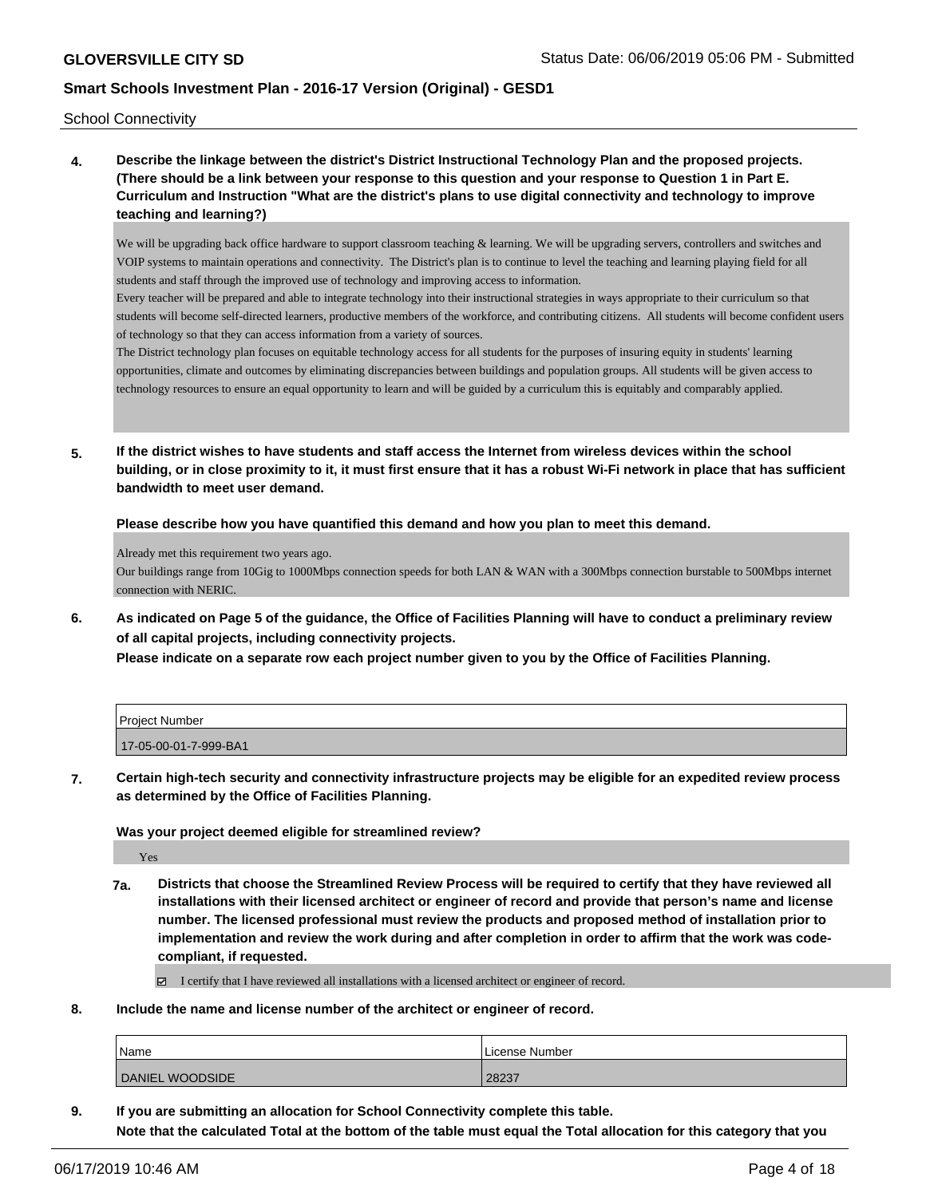School Connectivity

**4. Describe the linkage between the district's District Instructional Technology Plan and the proposed projects. (There should be a link between your response to this question and your response to Question 1 in Part E. Curriculum and Instruction "What are the district's plans to use digital connectivity and technology to improve teaching and learning?)**

We will be upgrading back office hardware to support classroom teaching & learning. We will be upgrading servers, controllers and switches and VOIP systems to maintain operations and connectivity. The District's plan is to continue to level the teaching and learning playing field for all students and staff through the improved use of technology and improving access to information.

Every teacher will be prepared and able to integrate technology into their instructional strategies in ways appropriate to their curriculum so that students will become self-directed learners, productive members of the workforce, and contributing citizens. All students will become confident users of technology so that they can access information from a variety of sources.

The District technology plan focuses on equitable technology access for all students for the purposes of insuring equity in students' learning opportunities, climate and outcomes by eliminating discrepancies between buildings and population groups. All students will be given access to technology resources to ensure an equal opportunity to learn and will be guided by a curriculum this is equitably and comparably applied.

**5. If the district wishes to have students and staff access the Internet from wireless devices within the school building, or in close proximity to it, it must first ensure that it has a robust Wi-Fi network in place that has sufficient bandwidth to meet user demand.**

**Please describe how you have quantified this demand and how you plan to meet this demand.**

Already met this requirement two years ago.

Our buildings range from 10Gig to 1000Mbps connection speeds for both LAN & WAN with a 300Mbps connection burstable to 500Mbps internet connection with NERIC.

**6. As indicated on Page 5 of the guidance, the Office of Facilities Planning will have to conduct a preliminary review of all capital projects, including connectivity projects.**

**Please indicate on a separate row each project number given to you by the Office of Facilities Planning.**

| l Proiect Number      |  |
|-----------------------|--|
| 17-05-00-01-7-999-BA1 |  |

**7. Certain high-tech security and connectivity infrastructure projects may be eligible for an expedited review process as determined by the Office of Facilities Planning.**

**Was your project deemed eligible for streamlined review?**

Yes

**7a. Districts that choose the Streamlined Review Process will be required to certify that they have reviewed all installations with their licensed architect or engineer of record and provide that person's name and license number. The licensed professional must review the products and proposed method of installation prior to implementation and review the work during and after completion in order to affirm that the work was codecompliant, if requested.**

I certify that I have reviewed all installations with a licensed architect or engineer of record.

**8. Include the name and license number of the architect or engineer of record.**

| Name            | I License Number |
|-----------------|------------------|
| DANIEL WOODSIDE | 28237            |

**9. If you are submitting an allocation for School Connectivity complete this table. Note that the calculated Total at the bottom of the table must equal the Total allocation for this category that you**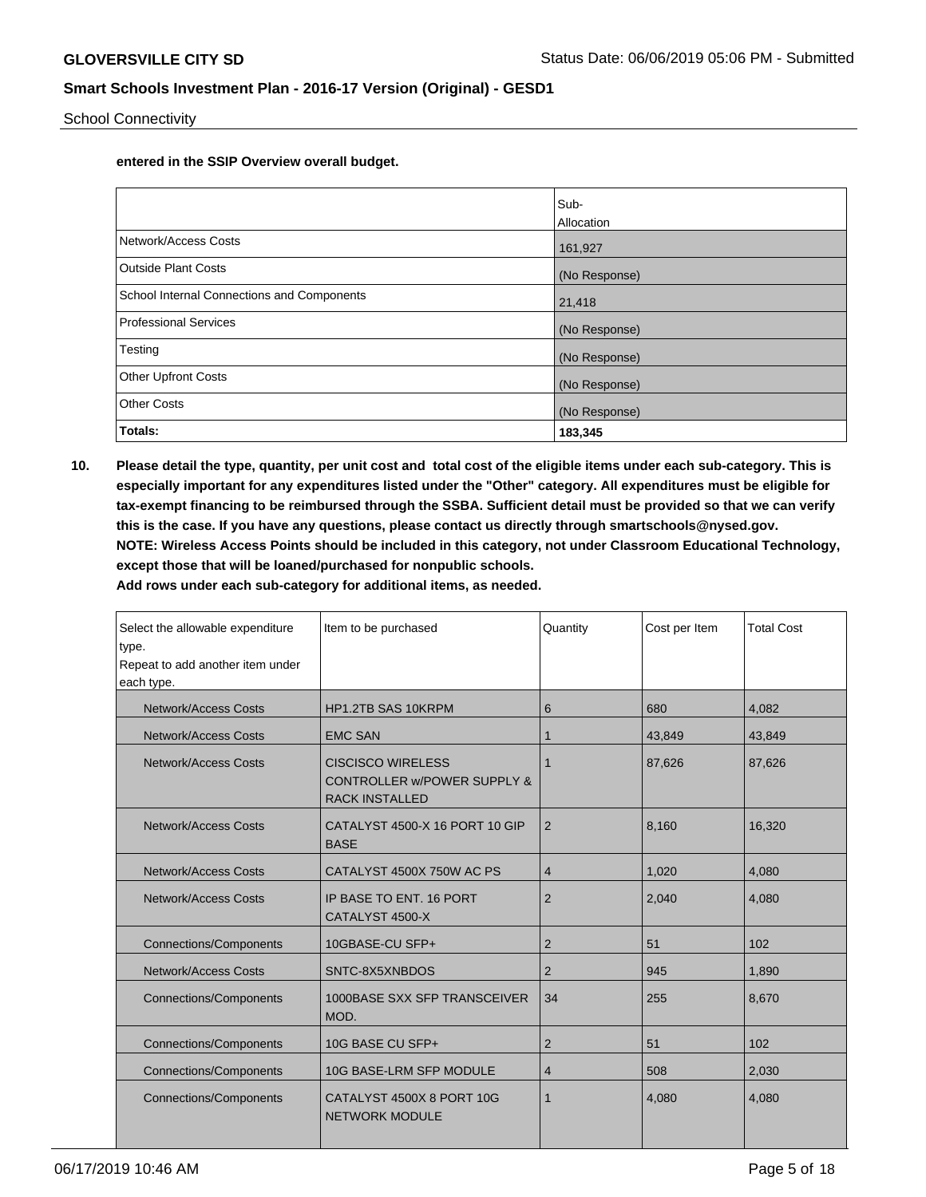School Connectivity

**entered in the SSIP Overview overall budget.** 

|                                            | Sub-          |
|--------------------------------------------|---------------|
|                                            | Allocation    |
| Network/Access Costs                       | 161,927       |
| <b>Outside Plant Costs</b>                 | (No Response) |
| School Internal Connections and Components | 21,418        |
| <b>Professional Services</b>               | (No Response) |
| Testing                                    | (No Response) |
| <b>Other Upfront Costs</b>                 | (No Response) |
| <b>Other Costs</b>                         | (No Response) |
| Totals:                                    | 183,345       |

**10. Please detail the type, quantity, per unit cost and total cost of the eligible items under each sub-category. This is especially important for any expenditures listed under the "Other" category. All expenditures must be eligible for tax-exempt financing to be reimbursed through the SSBA. Sufficient detail must be provided so that we can verify this is the case. If you have any questions, please contact us directly through smartschools@nysed.gov. NOTE: Wireless Access Points should be included in this category, not under Classroom Educational Technology, except those that will be loaned/purchased for nonpublic schools.**

| Select the allowable expenditure<br>type.        | Item to be purchased                                                                        | Quantity       | Cost per Item | <b>Total Cost</b> |
|--------------------------------------------------|---------------------------------------------------------------------------------------------|----------------|---------------|-------------------|
| Repeat to add another item under                 |                                                                                             |                |               |                   |
| each type.                                       |                                                                                             |                |               |                   |
|                                                  |                                                                                             |                |               |                   |
| <b>Network/Access Costs</b>                      | HP1.2TB SAS 10KRPM                                                                          | 6              | 680           | 4,082             |
| <b>Network/Access Costs</b>                      | <b>EMC SAN</b>                                                                              | 1              | 43,849        | 43,849            |
| Network/Access Costs                             | <b>CISCISCO WIRELESS</b><br><b>CONTROLLER w/POWER SUPPLY &amp;</b><br><b>RACK INSTALLED</b> | 1              | 87,626        | 87,626            |
| Network/Access Costs                             | CATALYST 4500-X 16 PORT 10 GIP<br><b>BASE</b>                                               | 2              | 8,160         | 16,320            |
| <b>Network/Access Costs</b>                      | CATALYST 4500X 750W AC PS                                                                   | 4              | 1,020         | 4,080             |
| <b>Network/Access Costs</b>                      | IP BASE TO ENT. 16 PORT<br>CATALYST 4500-X                                                  | $\overline{2}$ | 2,040         | 4,080             |
| <b>Connections/Components</b><br>10GBASE-CU SFP+ |                                                                                             | $\overline{2}$ | 51            | 102               |
| <b>Network/Access Costs</b>                      | SNTC-8X5XNBDOS                                                                              | $\overline{2}$ | 945           | 1,890             |
| <b>Connections/Components</b>                    | 1000BASE SXX SFP TRANSCEIVER<br>MOD.                                                        | 34             | 255           | 8.670             |
| <b>Connections/Components</b>                    | 10G BASE CU SFP+                                                                            | 2              | 51            | 102               |
| <b>Connections/Components</b>                    | 10G BASE-LRM SFP MODULE                                                                     | $\overline{4}$ | 508           | 2,030             |
| <b>Connections/Components</b>                    | CATALYST 4500X 8 PORT 10G<br><b>NETWORK MODULE</b>                                          | $\mathbf{1}$   | 4,080         | 4,080             |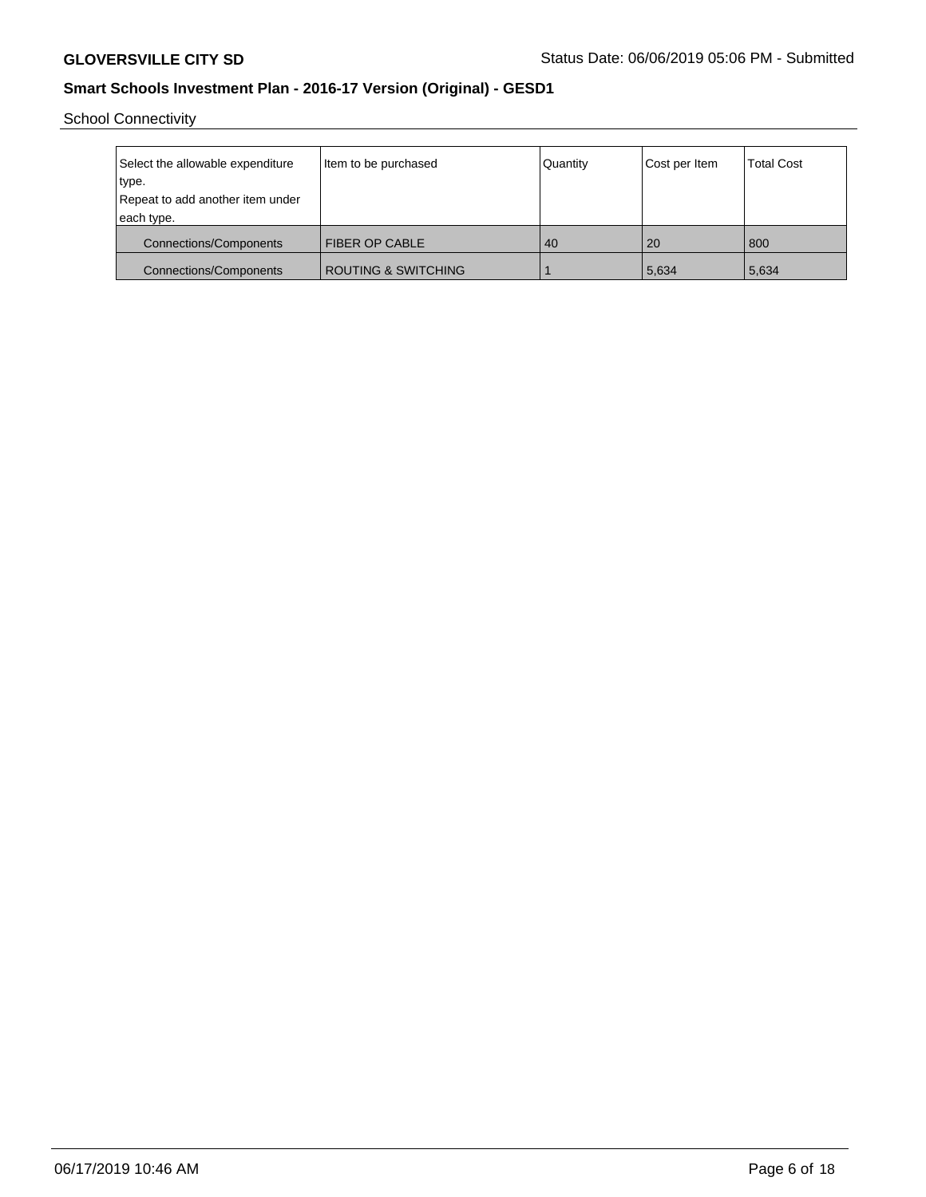School Connectivity

| Select the allowable expenditure<br>type.<br>Repeat to add another item under<br>each type. | Item to be purchased           | Quantity | Cost per Item | <b>Total Cost</b> |
|---------------------------------------------------------------------------------------------|--------------------------------|----------|---------------|-------------------|
| <b>Connections/Components</b>                                                               | <b>FIBER OP CABLE</b>          | 40       | -20           | 800               |
| <b>Connections/Components</b>                                                               | <b>ROUTING &amp; SWITCHING</b> |          | 5,634         | 5,634             |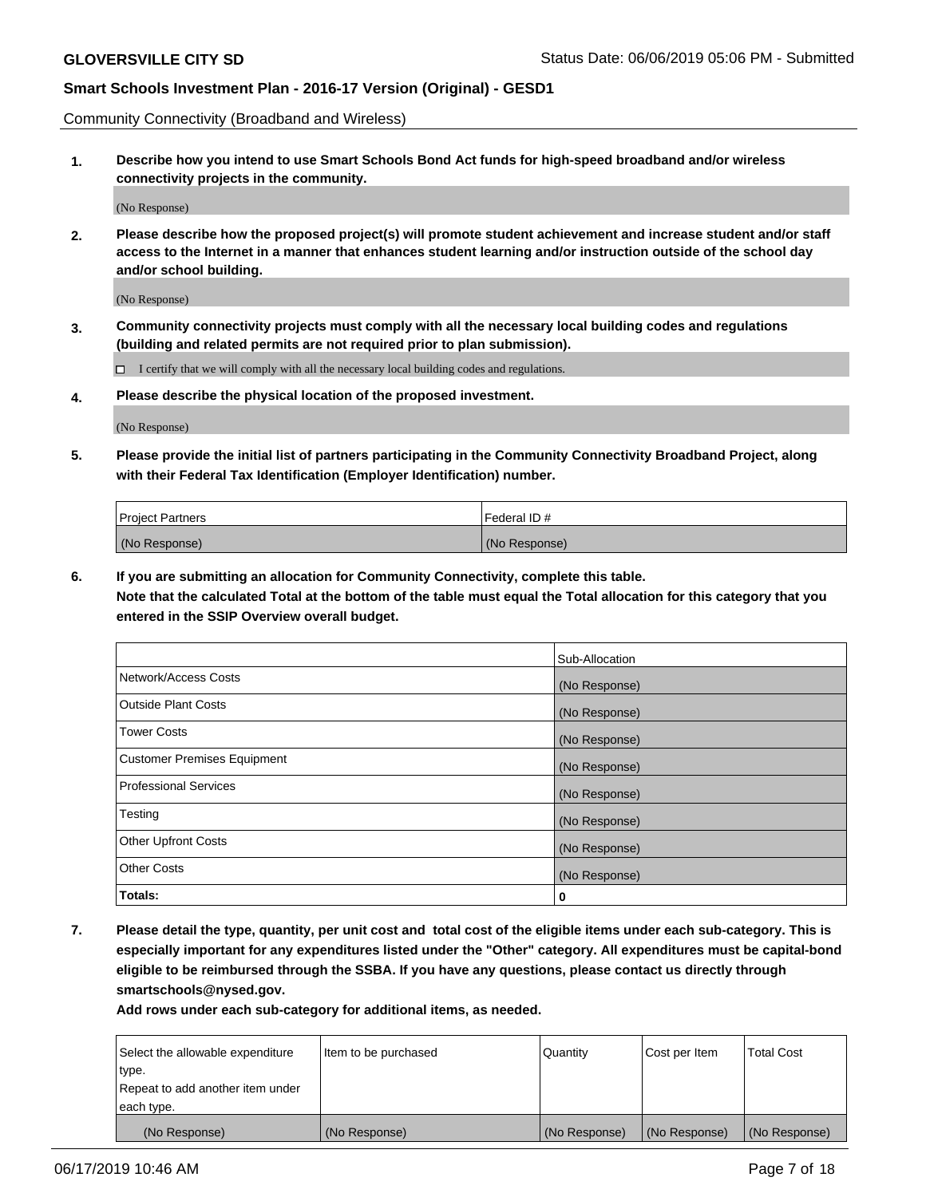Community Connectivity (Broadband and Wireless)

**1. Describe how you intend to use Smart Schools Bond Act funds for high-speed broadband and/or wireless connectivity projects in the community.**

(No Response)

**2. Please describe how the proposed project(s) will promote student achievement and increase student and/or staff access to the Internet in a manner that enhances student learning and/or instruction outside of the school day and/or school building.**

(No Response)

**3. Community connectivity projects must comply with all the necessary local building codes and regulations (building and related permits are not required prior to plan submission).**

 $\Box$  I certify that we will comply with all the necessary local building codes and regulations.

**4. Please describe the physical location of the proposed investment.**

(No Response)

**5. Please provide the initial list of partners participating in the Community Connectivity Broadband Project, along with their Federal Tax Identification (Employer Identification) number.**

| <b>Project Partners</b> | l Federal ID # |
|-------------------------|----------------|
| (No Response)           | (No Response)  |

**6. If you are submitting an allocation for Community Connectivity, complete this table.**

**Note that the calculated Total at the bottom of the table must equal the Total allocation for this category that you entered in the SSIP Overview overall budget.**

|                              | Sub-Allocation |
|------------------------------|----------------|
| Network/Access Costs         | (No Response)  |
| Outside Plant Costs          | (No Response)  |
| <b>Tower Costs</b>           | (No Response)  |
| Customer Premises Equipment  | (No Response)  |
| <b>Professional Services</b> | (No Response)  |
| Testing                      | (No Response)  |
| <b>Other Upfront Costs</b>   | (No Response)  |
| <b>Other Costs</b>           | (No Response)  |
| Totals:                      | 0              |

**7. Please detail the type, quantity, per unit cost and total cost of the eligible items under each sub-category. This is especially important for any expenditures listed under the "Other" category. All expenditures must be capital-bond eligible to be reimbursed through the SSBA. If you have any questions, please contact us directly through smartschools@nysed.gov.**

| Select the allowable expenditure | Item to be purchased | Quantity      | Cost per Item | <b>Total Cost</b> |
|----------------------------------|----------------------|---------------|---------------|-------------------|
| type.                            |                      |               |               |                   |
| Repeat to add another item under |                      |               |               |                   |
| each type.                       |                      |               |               |                   |
| (No Response)                    | (No Response)        | (No Response) | (No Response) | (No Response)     |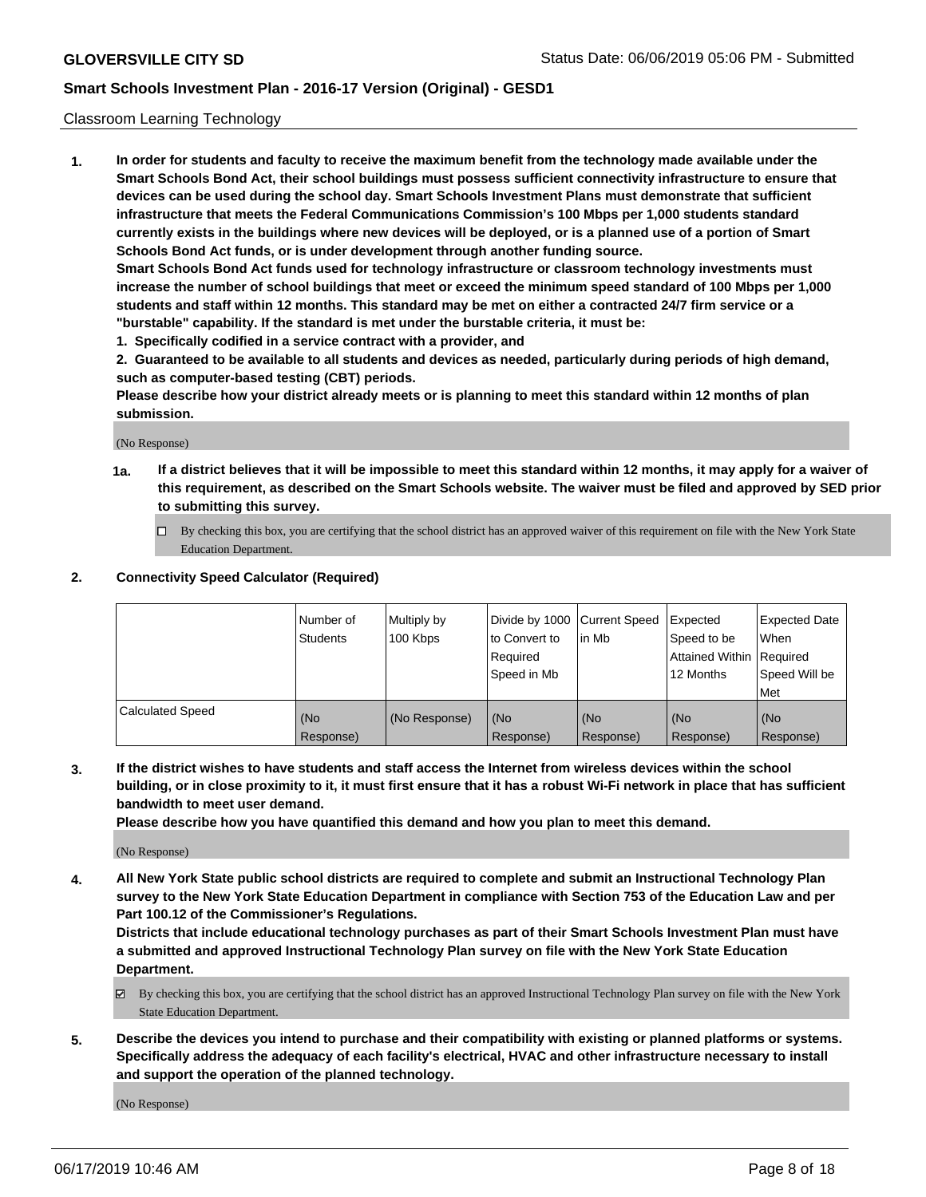#### Classroom Learning Technology

**1. In order for students and faculty to receive the maximum benefit from the technology made available under the Smart Schools Bond Act, their school buildings must possess sufficient connectivity infrastructure to ensure that devices can be used during the school day. Smart Schools Investment Plans must demonstrate that sufficient infrastructure that meets the Federal Communications Commission's 100 Mbps per 1,000 students standard currently exists in the buildings where new devices will be deployed, or is a planned use of a portion of Smart Schools Bond Act funds, or is under development through another funding source. Smart Schools Bond Act funds used for technology infrastructure or classroom technology investments must increase the number of school buildings that meet or exceed the minimum speed standard of 100 Mbps per 1,000**

**students and staff within 12 months. This standard may be met on either a contracted 24/7 firm service or a "burstable" capability. If the standard is met under the burstable criteria, it must be:**

**1. Specifically codified in a service contract with a provider, and**

**2. Guaranteed to be available to all students and devices as needed, particularly during periods of high demand, such as computer-based testing (CBT) periods.**

**Please describe how your district already meets or is planning to meet this standard within 12 months of plan submission.**

(No Response)

- **1a. If a district believes that it will be impossible to meet this standard within 12 months, it may apply for a waiver of this requirement, as described on the Smart Schools website. The waiver must be filed and approved by SED prior to submitting this survey.**
	- By checking this box, you are certifying that the school district has an approved waiver of this requirement on file with the New York State Education Department.

#### **2. Connectivity Speed Calculator (Required)**

|                         | l Number of<br>Students | Multiply by<br>100 Kbps | to Convert to<br>Required<br>Speed in Mb | Divide by 1000 Current Speed Expected<br>l in Mb | Speed to be<br>Attained Within Required<br>12 Months | <b>Expected Date</b><br>When<br>Speed Will be<br>Met |
|-------------------------|-------------------------|-------------------------|------------------------------------------|--------------------------------------------------|------------------------------------------------------|------------------------------------------------------|
| <b>Calculated Speed</b> | (No<br>Response)        | (No Response)           | (No<br>Response)                         | (No<br>Response)                                 | (No<br>Response)                                     | (No<br>Response)                                     |

**3. If the district wishes to have students and staff access the Internet from wireless devices within the school building, or in close proximity to it, it must first ensure that it has a robust Wi-Fi network in place that has sufficient bandwidth to meet user demand.**

**Please describe how you have quantified this demand and how you plan to meet this demand.**

(No Response)

**4. All New York State public school districts are required to complete and submit an Instructional Technology Plan survey to the New York State Education Department in compliance with Section 753 of the Education Law and per Part 100.12 of the Commissioner's Regulations.**

**Districts that include educational technology purchases as part of their Smart Schools Investment Plan must have a submitted and approved Instructional Technology Plan survey on file with the New York State Education Department.**

- $\boxtimes$  By checking this box, you are certifying that the school district has an approved Instructional Technology Plan survey on file with the New York State Education Department.
- **5. Describe the devices you intend to purchase and their compatibility with existing or planned platforms or systems. Specifically address the adequacy of each facility's electrical, HVAC and other infrastructure necessary to install and support the operation of the planned technology.**

(No Response)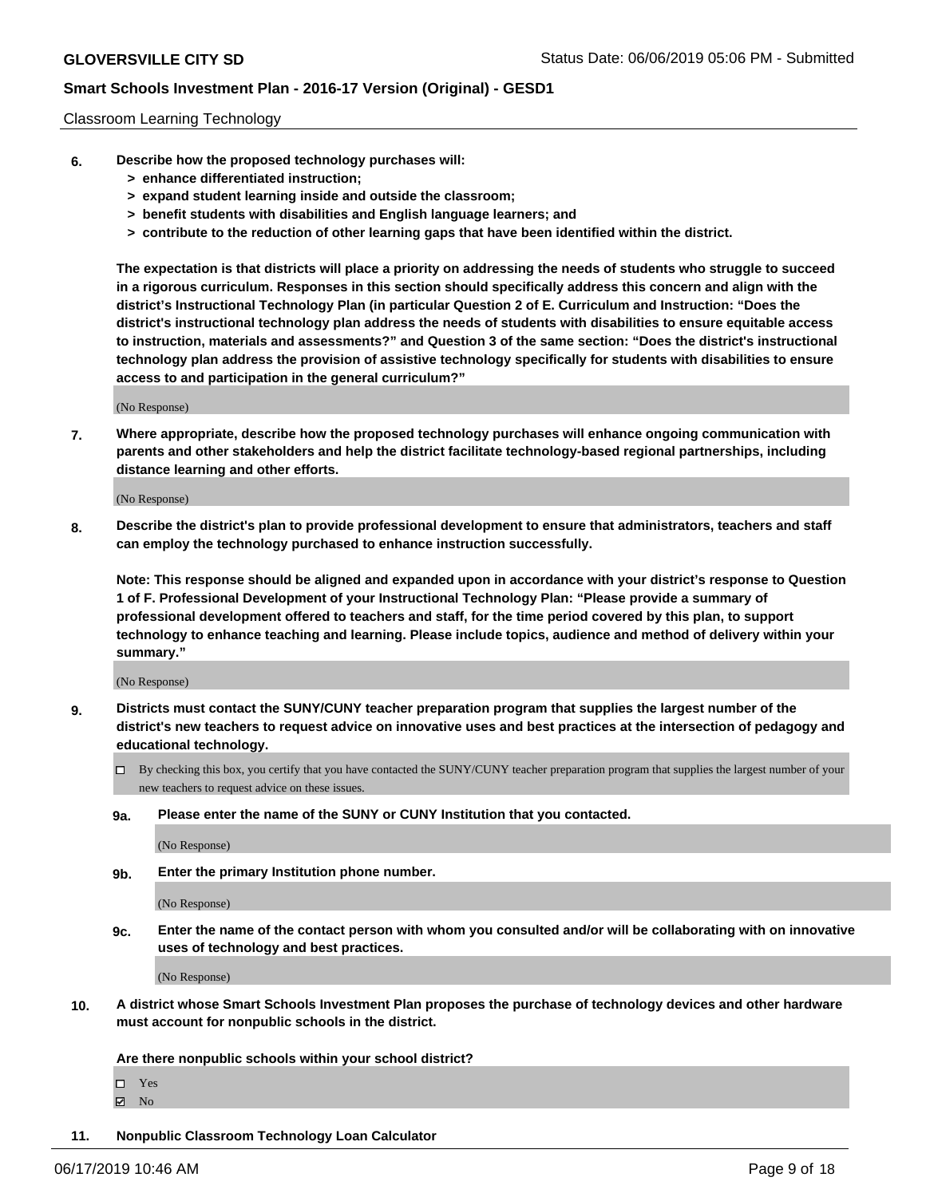#### Classroom Learning Technology

- **6. Describe how the proposed technology purchases will:**
	- **> enhance differentiated instruction;**
	- **> expand student learning inside and outside the classroom;**
	- **> benefit students with disabilities and English language learners; and**
	- **> contribute to the reduction of other learning gaps that have been identified within the district.**

**The expectation is that districts will place a priority on addressing the needs of students who struggle to succeed in a rigorous curriculum. Responses in this section should specifically address this concern and align with the district's Instructional Technology Plan (in particular Question 2 of E. Curriculum and Instruction: "Does the district's instructional technology plan address the needs of students with disabilities to ensure equitable access to instruction, materials and assessments?" and Question 3 of the same section: "Does the district's instructional technology plan address the provision of assistive technology specifically for students with disabilities to ensure access to and participation in the general curriculum?"**

(No Response)

**7. Where appropriate, describe how the proposed technology purchases will enhance ongoing communication with parents and other stakeholders and help the district facilitate technology-based regional partnerships, including distance learning and other efforts.**

(No Response)

**8. Describe the district's plan to provide professional development to ensure that administrators, teachers and staff can employ the technology purchased to enhance instruction successfully.**

**Note: This response should be aligned and expanded upon in accordance with your district's response to Question 1 of F. Professional Development of your Instructional Technology Plan: "Please provide a summary of professional development offered to teachers and staff, for the time period covered by this plan, to support technology to enhance teaching and learning. Please include topics, audience and method of delivery within your summary."**

(No Response)

- **9. Districts must contact the SUNY/CUNY teacher preparation program that supplies the largest number of the district's new teachers to request advice on innovative uses and best practices at the intersection of pedagogy and educational technology.**
	- By checking this box, you certify that you have contacted the SUNY/CUNY teacher preparation program that supplies the largest number of your new teachers to request advice on these issues.
	- **9a. Please enter the name of the SUNY or CUNY Institution that you contacted.**

(No Response)

**9b. Enter the primary Institution phone number.**

(No Response)

**9c. Enter the name of the contact person with whom you consulted and/or will be collaborating with on innovative uses of technology and best practices.**

(No Response)

**10. A district whose Smart Schools Investment Plan proposes the purchase of technology devices and other hardware must account for nonpublic schools in the district.**

**Are there nonpublic schools within your school district?**

Yes

**Ø** No

**11. Nonpublic Classroom Technology Loan Calculator**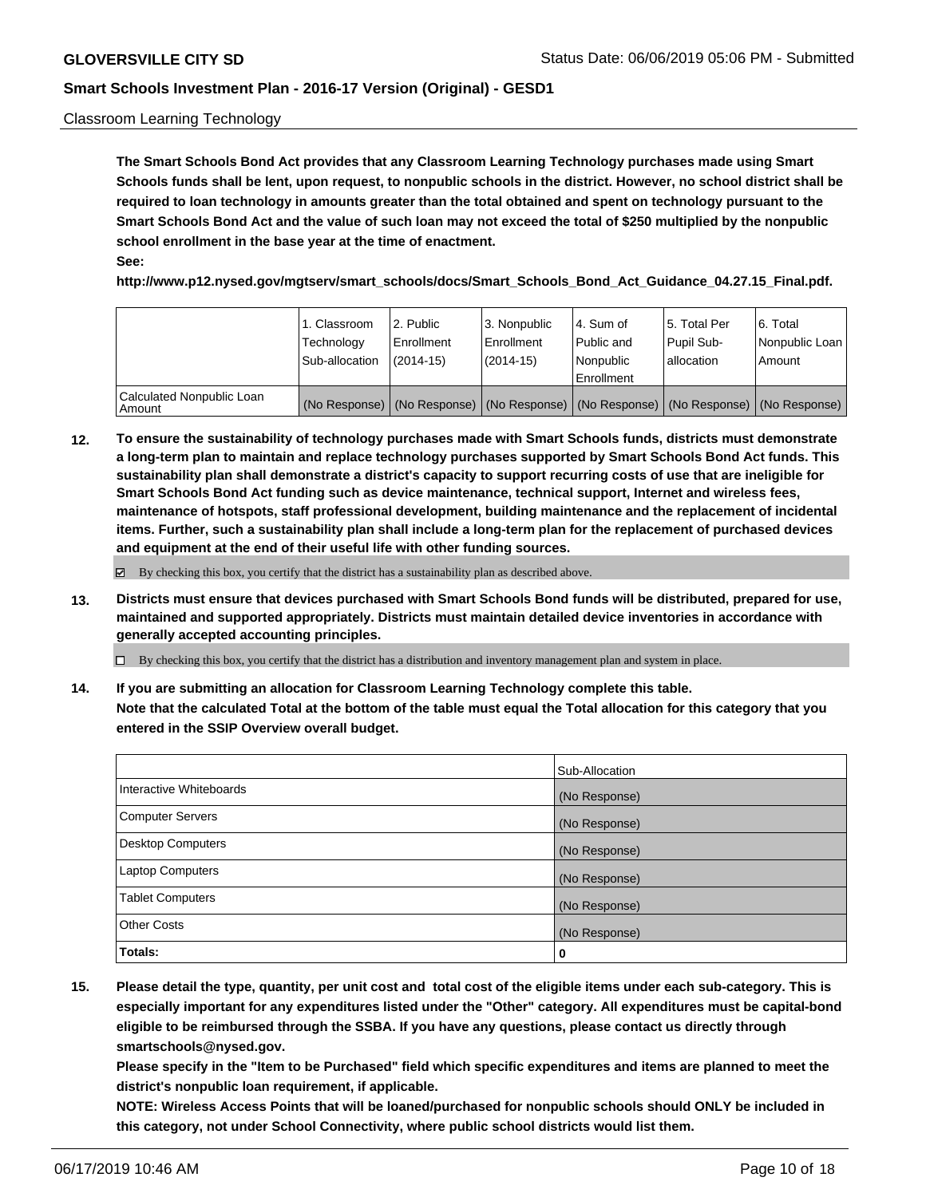### Classroom Learning Technology

**The Smart Schools Bond Act provides that any Classroom Learning Technology purchases made using Smart Schools funds shall be lent, upon request, to nonpublic schools in the district. However, no school district shall be required to loan technology in amounts greater than the total obtained and spent on technology pursuant to the Smart Schools Bond Act and the value of such loan may not exceed the total of \$250 multiplied by the nonpublic school enrollment in the base year at the time of enactment. See:**

**http://www.p12.nysed.gov/mgtserv/smart\_schools/docs/Smart\_Schools\_Bond\_Act\_Guidance\_04.27.15\_Final.pdf.**

|                                       | 1. Classroom<br>Technology<br>Sub-allocation | l 2. Public<br>Enrollment<br>$(2014-15)$ | 3. Nonpublic<br>l Enrollment<br>$(2014-15)$ | l 4. Sum of<br>Public and<br>l Nonpublic<br>Enrollment                                        | l 5. Total Per<br>Pupil Sub-<br>l allocation | l 6. Total<br>Nonpublic Loan<br>Amount |
|---------------------------------------|----------------------------------------------|------------------------------------------|---------------------------------------------|-----------------------------------------------------------------------------------------------|----------------------------------------------|----------------------------------------|
| Calculated Nonpublic Loan<br>l Amount |                                              |                                          |                                             | (No Response)   (No Response)   (No Response)   (No Response)   (No Response)   (No Response) |                                              |                                        |

**12. To ensure the sustainability of technology purchases made with Smart Schools funds, districts must demonstrate a long-term plan to maintain and replace technology purchases supported by Smart Schools Bond Act funds. This sustainability plan shall demonstrate a district's capacity to support recurring costs of use that are ineligible for Smart Schools Bond Act funding such as device maintenance, technical support, Internet and wireless fees, maintenance of hotspots, staff professional development, building maintenance and the replacement of incidental items. Further, such a sustainability plan shall include a long-term plan for the replacement of purchased devices and equipment at the end of their useful life with other funding sources.**

By checking this box, you certify that the district has a sustainability plan as described above.

**13. Districts must ensure that devices purchased with Smart Schools Bond funds will be distributed, prepared for use, maintained and supported appropriately. Districts must maintain detailed device inventories in accordance with generally accepted accounting principles.**

By checking this box, you certify that the district has a distribution and inventory management plan and system in place.

**14. If you are submitting an allocation for Classroom Learning Technology complete this table. Note that the calculated Total at the bottom of the table must equal the Total allocation for this category that you entered in the SSIP Overview overall budget.**

|                          | Sub-Allocation |
|--------------------------|----------------|
| Interactive Whiteboards  | (No Response)  |
| <b>Computer Servers</b>  | (No Response)  |
| <b>Desktop Computers</b> | (No Response)  |
| <b>Laptop Computers</b>  | (No Response)  |
| <b>Tablet Computers</b>  | (No Response)  |
| <b>Other Costs</b>       | (No Response)  |
| Totals:                  | 0              |

**15. Please detail the type, quantity, per unit cost and total cost of the eligible items under each sub-category. This is especially important for any expenditures listed under the "Other" category. All expenditures must be capital-bond eligible to be reimbursed through the SSBA. If you have any questions, please contact us directly through smartschools@nysed.gov.**

**Please specify in the "Item to be Purchased" field which specific expenditures and items are planned to meet the district's nonpublic loan requirement, if applicable.**

**NOTE: Wireless Access Points that will be loaned/purchased for nonpublic schools should ONLY be included in this category, not under School Connectivity, where public school districts would list them.**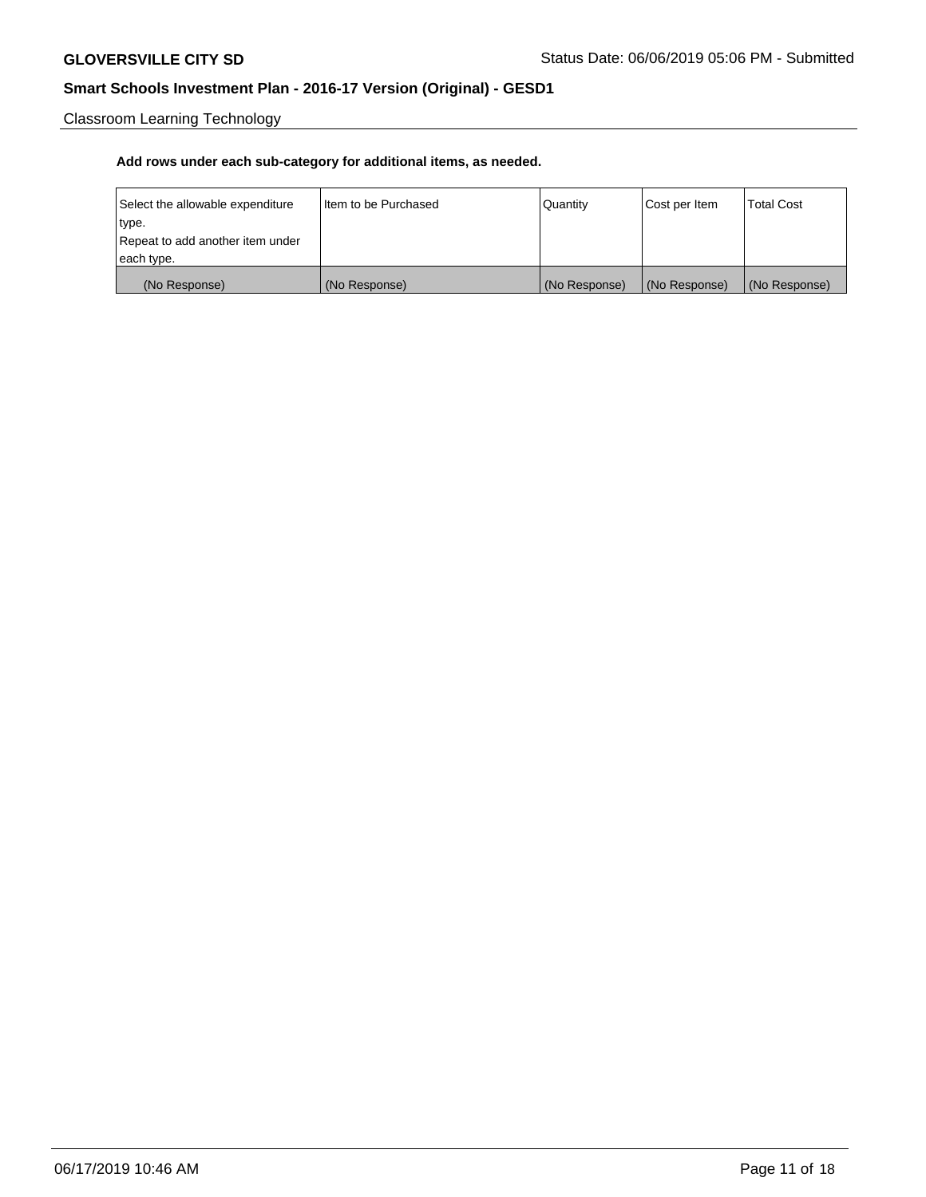Classroom Learning Technology

| Select the allowable expenditure | I Item to be Purchased | Quantity      | Cost per Item | <b>Total Cost</b> |
|----------------------------------|------------------------|---------------|---------------|-------------------|
| type.                            |                        |               |               |                   |
| Repeat to add another item under |                        |               |               |                   |
| each type.                       |                        |               |               |                   |
| (No Response)                    | (No Response)          | (No Response) | (No Response) | (No Response)     |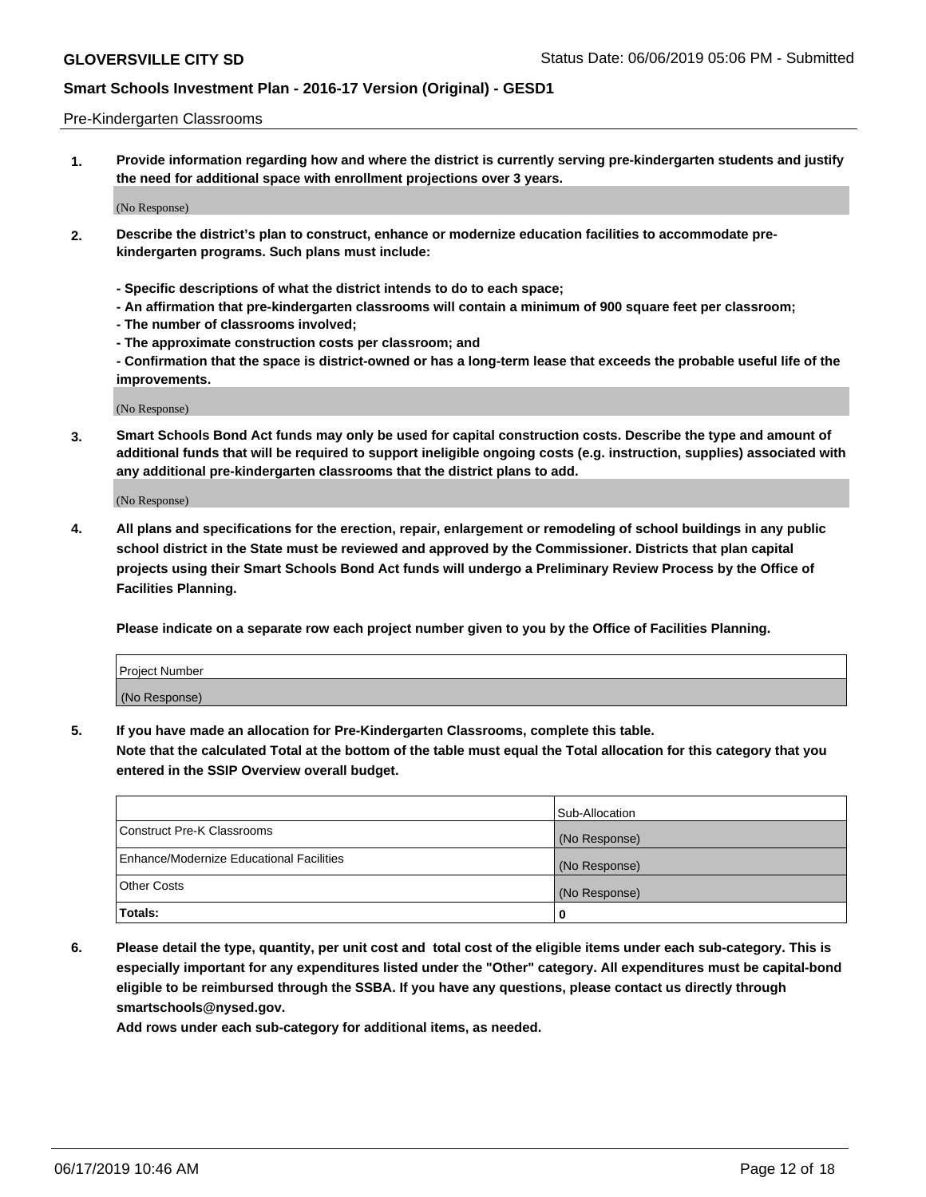#### Pre-Kindergarten Classrooms

**1. Provide information regarding how and where the district is currently serving pre-kindergarten students and justify the need for additional space with enrollment projections over 3 years.**

(No Response)

- **2. Describe the district's plan to construct, enhance or modernize education facilities to accommodate prekindergarten programs. Such plans must include:**
	- **Specific descriptions of what the district intends to do to each space;**
	- **An affirmation that pre-kindergarten classrooms will contain a minimum of 900 square feet per classroom;**
	- **The number of classrooms involved;**
	- **The approximate construction costs per classroom; and**
	- **Confirmation that the space is district-owned or has a long-term lease that exceeds the probable useful life of the improvements.**

(No Response)

**3. Smart Schools Bond Act funds may only be used for capital construction costs. Describe the type and amount of additional funds that will be required to support ineligible ongoing costs (e.g. instruction, supplies) associated with any additional pre-kindergarten classrooms that the district plans to add.**

(No Response)

**4. All plans and specifications for the erection, repair, enlargement or remodeling of school buildings in any public school district in the State must be reviewed and approved by the Commissioner. Districts that plan capital projects using their Smart Schools Bond Act funds will undergo a Preliminary Review Process by the Office of Facilities Planning.**

**Please indicate on a separate row each project number given to you by the Office of Facilities Planning.**

| Project Number |  |
|----------------|--|
| (No Response)  |  |
|                |  |

**5. If you have made an allocation for Pre-Kindergarten Classrooms, complete this table.**

**Note that the calculated Total at the bottom of the table must equal the Total allocation for this category that you entered in the SSIP Overview overall budget.**

|                                          | Sub-Allocation |
|------------------------------------------|----------------|
| Construct Pre-K Classrooms               | (No Response)  |
| Enhance/Modernize Educational Facilities | (No Response)  |
| <b>Other Costs</b>                       | (No Response)  |
| Totals:                                  | 0              |

**6. Please detail the type, quantity, per unit cost and total cost of the eligible items under each sub-category. This is especially important for any expenditures listed under the "Other" category. All expenditures must be capital-bond eligible to be reimbursed through the SSBA. If you have any questions, please contact us directly through smartschools@nysed.gov.**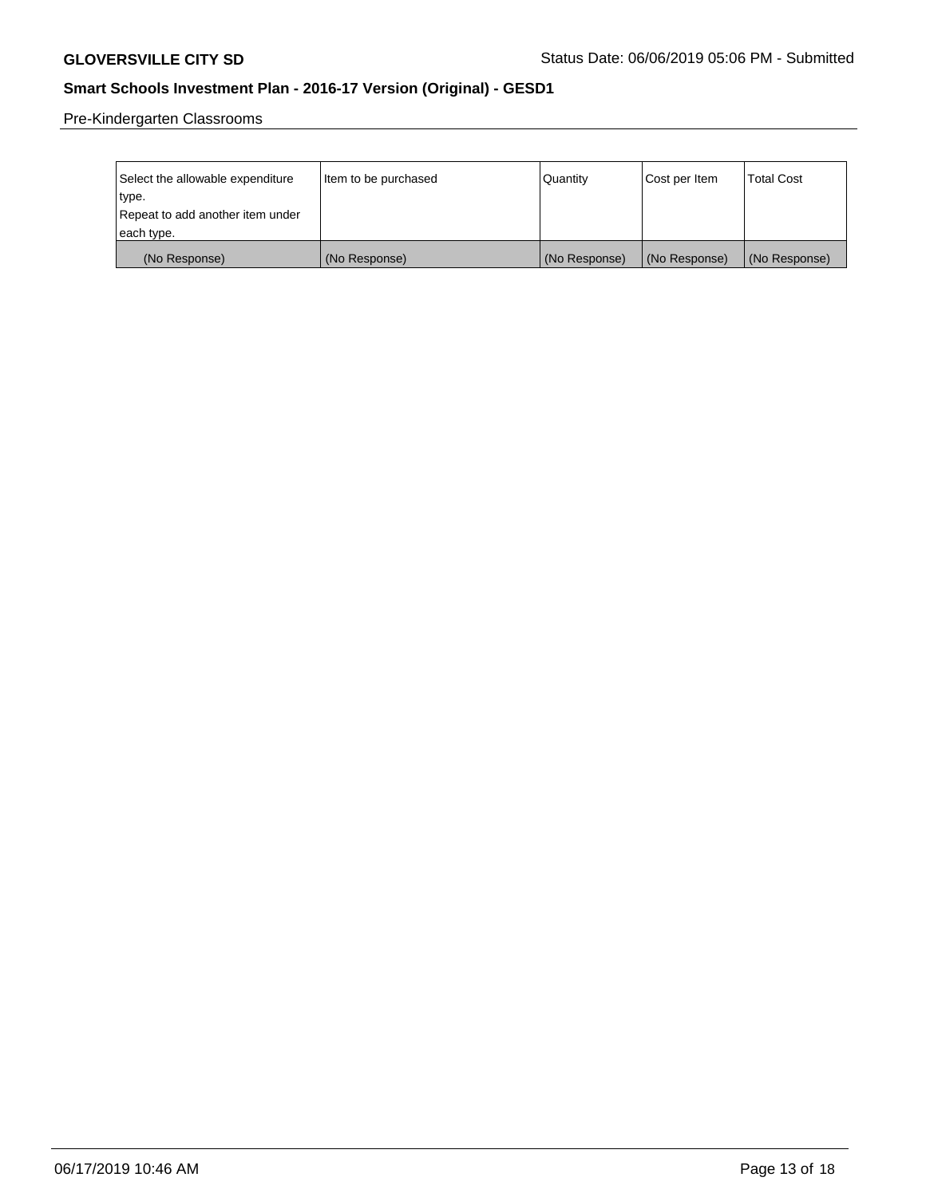Pre-Kindergarten Classrooms

| Select the allowable expenditure | Item to be purchased | Quantity      | Cost per Item | <b>Total Cost</b> |
|----------------------------------|----------------------|---------------|---------------|-------------------|
| type.                            |                      |               |               |                   |
| Repeat to add another item under |                      |               |               |                   |
| each type.                       |                      |               |               |                   |
| (No Response)                    | (No Response)        | (No Response) | (No Response) | (No Response)     |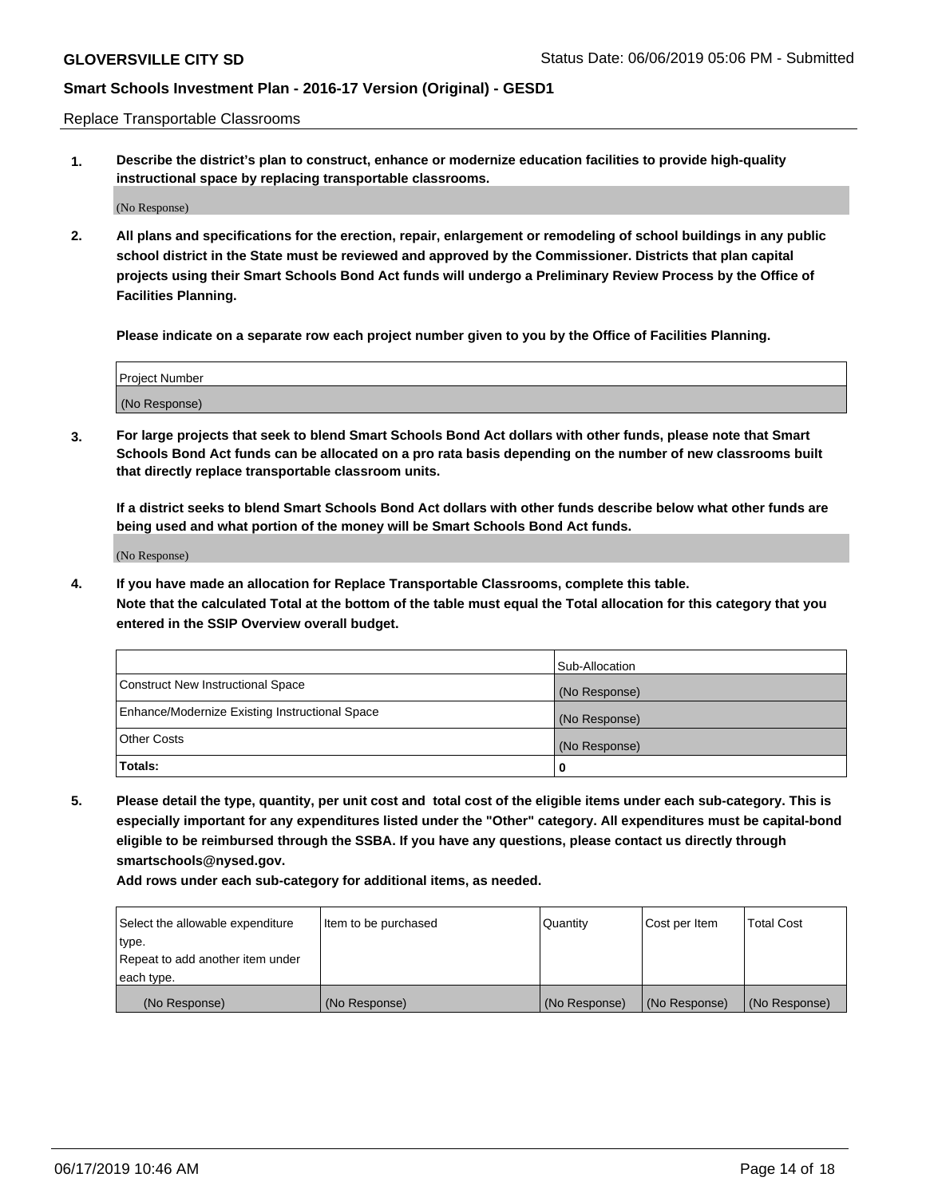Replace Transportable Classrooms

**1. Describe the district's plan to construct, enhance or modernize education facilities to provide high-quality instructional space by replacing transportable classrooms.**

(No Response)

**2. All plans and specifications for the erection, repair, enlargement or remodeling of school buildings in any public school district in the State must be reviewed and approved by the Commissioner. Districts that plan capital projects using their Smart Schools Bond Act funds will undergo a Preliminary Review Process by the Office of Facilities Planning.**

**Please indicate on a separate row each project number given to you by the Office of Facilities Planning.**

| Project Number |  |
|----------------|--|
|                |  |
|                |  |
|                |  |
|                |  |
| (No Response)  |  |
|                |  |
|                |  |
|                |  |

**3. For large projects that seek to blend Smart Schools Bond Act dollars with other funds, please note that Smart Schools Bond Act funds can be allocated on a pro rata basis depending on the number of new classrooms built that directly replace transportable classroom units.**

**If a district seeks to blend Smart Schools Bond Act dollars with other funds describe below what other funds are being used and what portion of the money will be Smart Schools Bond Act funds.**

(No Response)

**4. If you have made an allocation for Replace Transportable Classrooms, complete this table. Note that the calculated Total at the bottom of the table must equal the Total allocation for this category that you entered in the SSIP Overview overall budget.**

|                                                | Sub-Allocation |
|------------------------------------------------|----------------|
| Construct New Instructional Space              | (No Response)  |
| Enhance/Modernize Existing Instructional Space | (No Response)  |
| <b>Other Costs</b>                             | (No Response)  |
| Totals:                                        | 0              |

**5. Please detail the type, quantity, per unit cost and total cost of the eligible items under each sub-category. This is especially important for any expenditures listed under the "Other" category. All expenditures must be capital-bond eligible to be reimbursed through the SSBA. If you have any questions, please contact us directly through smartschools@nysed.gov.**

| Select the allowable expenditure | Item to be purchased | l Quantitv    | Cost per Item | <b>Total Cost</b> |
|----------------------------------|----------------------|---------------|---------------|-------------------|
| type.                            |                      |               |               |                   |
| Repeat to add another item under |                      |               |               |                   |
| each type.                       |                      |               |               |                   |
| (No Response)                    | (No Response)        | (No Response) | (No Response) | (No Response)     |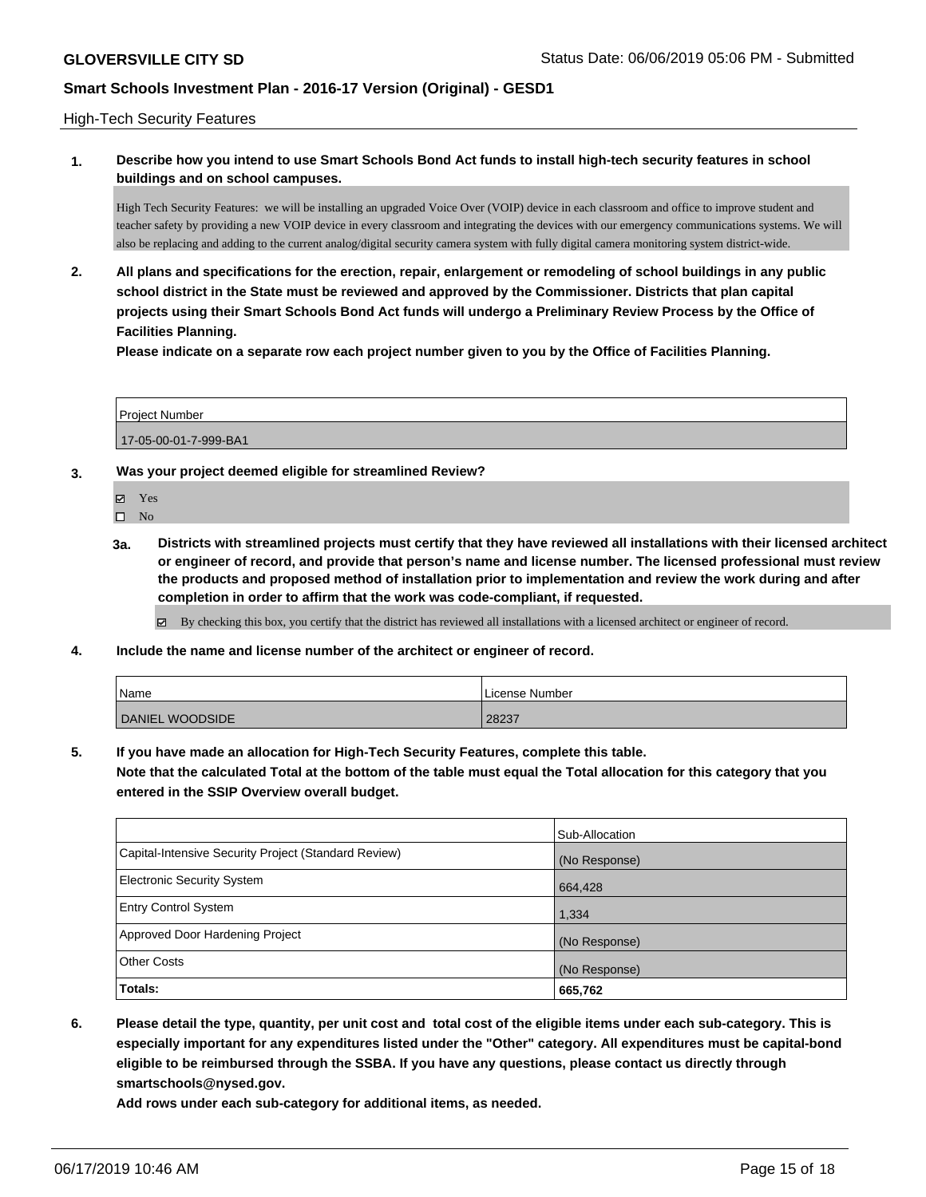High-Tech Security Features

**1. Describe how you intend to use Smart Schools Bond Act funds to install high-tech security features in school buildings and on school campuses.**

High Tech Security Features: we will be installing an upgraded Voice Over (VOIP) device in each classroom and office to improve student and teacher safety by providing a new VOIP device in every classroom and integrating the devices with our emergency communications systems. We will also be replacing and adding to the current analog/digital security camera system with fully digital camera monitoring system district-wide.

**2. All plans and specifications for the erection, repair, enlargement or remodeling of school buildings in any public school district in the State must be reviewed and approved by the Commissioner. Districts that plan capital projects using their Smart Schools Bond Act funds will undergo a Preliminary Review Process by the Office of Facilities Planning.** 

**Please indicate on a separate row each project number given to you by the Office of Facilities Planning.**

Project Number 17-05-00-01-7-999-BA1

- **3. Was your project deemed eligible for streamlined Review?**
	- Yes
	- $\square$  No
	- **3a. Districts with streamlined projects must certify that they have reviewed all installations with their licensed architect or engineer of record, and provide that person's name and license number. The licensed professional must review the products and proposed method of installation prior to implementation and review the work during and after completion in order to affirm that the work was code-compliant, if requested.**

By checking this box, you certify that the district has reviewed all installations with a licensed architect or engineer of record.

**4. Include the name and license number of the architect or engineer of record.**

| Name                   | License Number |
|------------------------|----------------|
| <b>DANIEL WOODSIDE</b> | 28237          |

**5. If you have made an allocation for High-Tech Security Features, complete this table.**

**Note that the calculated Total at the bottom of the table must equal the Total allocation for this category that you entered in the SSIP Overview overall budget.**

|                                                      | Sub-Allocation |
|------------------------------------------------------|----------------|
| Capital-Intensive Security Project (Standard Review) | (No Response)  |
| <b>Electronic Security System</b>                    | 664,428        |
| <b>Entry Control System</b>                          | 1,334          |
| Approved Door Hardening Project                      | (No Response)  |
| <b>Other Costs</b>                                   | (No Response)  |
| Totals:                                              | 665,762        |

**6. Please detail the type, quantity, per unit cost and total cost of the eligible items under each sub-category. This is especially important for any expenditures listed under the "Other" category. All expenditures must be capital-bond eligible to be reimbursed through the SSBA. If you have any questions, please contact us directly through smartschools@nysed.gov.**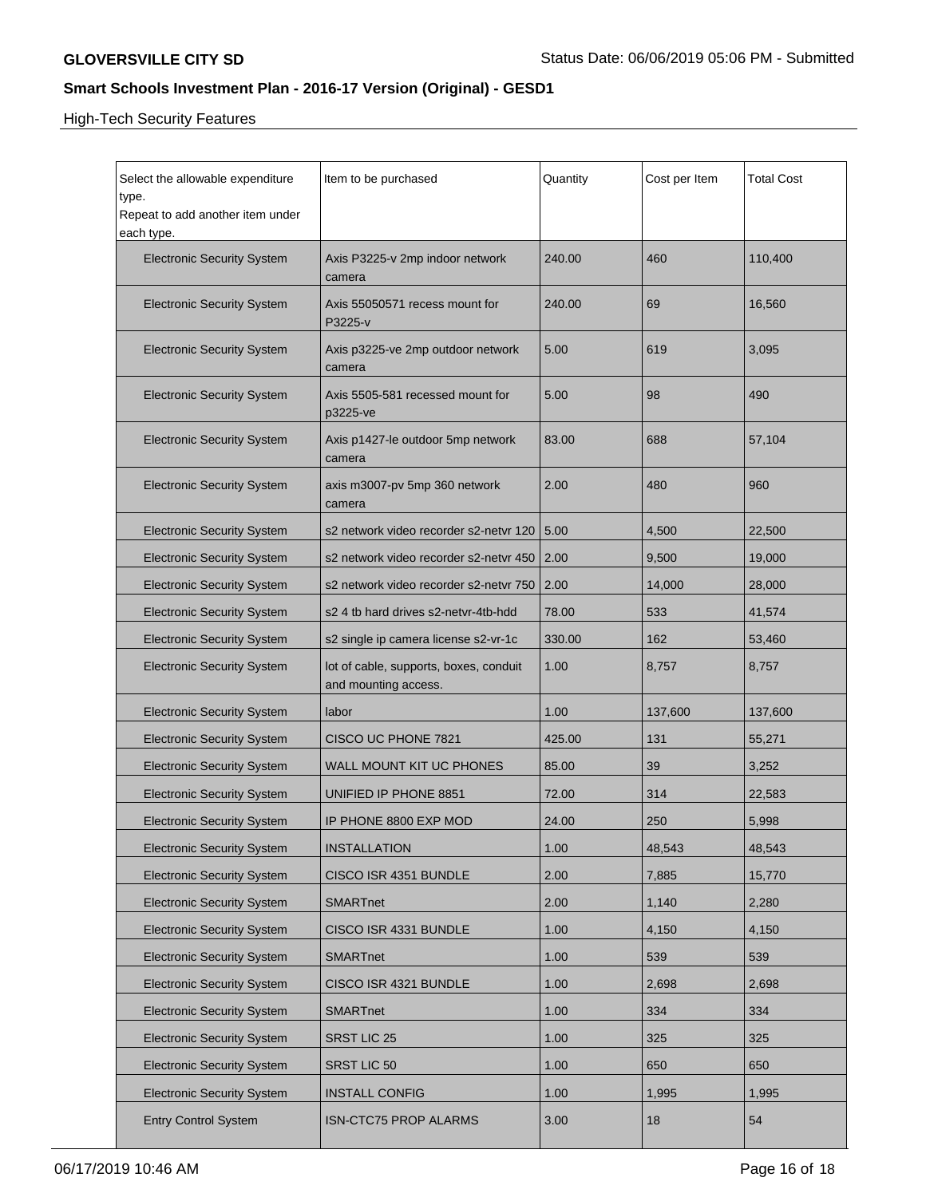High-Tech Security Features

| Select the allowable expenditure<br>type.<br>Repeat to add another item under<br>each type. | Item to be purchased                                           | Quantity | Cost per Item | <b>Total Cost</b> |
|---------------------------------------------------------------------------------------------|----------------------------------------------------------------|----------|---------------|-------------------|
| <b>Electronic Security System</b>                                                           | Axis P3225-v 2mp indoor network<br>camera                      | 240.00   | 460           | 110,400           |
| <b>Electronic Security System</b>                                                           | Axis 55050571 recess mount for<br>P3225-v                      | 240.00   | 69            | 16,560            |
| <b>Electronic Security System</b>                                                           | Axis p3225-ve 2mp outdoor network<br>camera                    | 5.00     | 619           | 3.095             |
| <b>Electronic Security System</b>                                                           | Axis 5505-581 recessed mount for<br>p3225-ve                   | 5.00     | 98            | 490               |
| <b>Electronic Security System</b>                                                           | Axis p1427-le outdoor 5mp network<br>camera                    | 83.00    | 688           | 57,104            |
| <b>Electronic Security System</b>                                                           | axis m3007-pv 5mp 360 network<br>camera                        | 2.00     | 480           | 960               |
| <b>Electronic Security System</b>                                                           | s2 network video recorder s2-netvr 120                         | 5.00     | 4,500         | 22,500            |
| <b>Electronic Security System</b>                                                           | s2 network video recorder s2-netvr 450                         | 2.00     | 9.500         | 19,000            |
| <b>Electronic Security System</b>                                                           | s2 network video recorder s2-netvr 750                         | 2.00     | 14,000        | 28,000            |
| <b>Electronic Security System</b>                                                           | s2 4 tb hard drives s2-netvr-4tb-hdd                           | 78.00    | 533           | 41,574            |
| <b>Electronic Security System</b>                                                           | s2 single ip camera license s2-vr-1c                           | 330.00   | 162           | 53,460            |
| <b>Electronic Security System</b>                                                           | lot of cable, supports, boxes, conduit<br>and mounting access. | 1.00     | 8,757         | 8,757             |
| <b>Electronic Security System</b>                                                           | labor                                                          | 1.00     | 137,600       | 137,600           |
| <b>Electronic Security System</b>                                                           | CISCO UC PHONE 7821                                            | 425.00   | 131           | 55,271            |
| <b>Electronic Security System</b>                                                           | WALL MOUNT KIT UC PHONES                                       | 85.00    | 39            | 3,252             |
| <b>Electronic Security System</b>                                                           | UNIFIED IP PHONE 8851                                          | 72.00    | 314           | 22,583            |
| <b>Electronic Security System</b>                                                           | IP PHONE 8800 EXP MOD                                          | 24.00    | 250           | 5,998             |
| <b>Electronic Security System</b>                                                           | <b>INSTALLATION</b>                                            | 1.00     | 48,543        | 48,543            |
| <b>Electronic Security System</b>                                                           | CISCO ISR 4351 BUNDLE                                          | 2.00     | 7,885         | 15,770            |
| <b>Electronic Security System</b>                                                           | <b>SMARTnet</b>                                                | 2.00     | 1,140         | 2,280             |
| <b>Electronic Security System</b>                                                           | CISCO ISR 4331 BUNDLE                                          | 1.00     | 4,150         | 4,150             |
| <b>Electronic Security System</b>                                                           | <b>SMARTnet</b>                                                | 1.00     | 539           | 539               |
| <b>Electronic Security System</b>                                                           | CISCO ISR 4321 BUNDLE                                          | 1.00     | 2,698         | 2.698             |
| <b>Electronic Security System</b>                                                           | <b>SMARTnet</b>                                                | 1.00     | 334           | 334               |
| <b>Electronic Security System</b>                                                           | <b>SRST LIC 25</b>                                             | 1.00     | 325           | 325               |
| <b>Electronic Security System</b>                                                           | <b>SRST LIC 50</b>                                             | 1.00     | 650           | 650               |
| <b>Electronic Security System</b>                                                           | <b>INSTALL CONFIG</b>                                          | 1.00     | 1,995         | 1,995             |
| <b>Entry Control System</b>                                                                 | <b>ISN-CTC75 PROP ALARMS</b>                                   | 3.00     | 18            | 54                |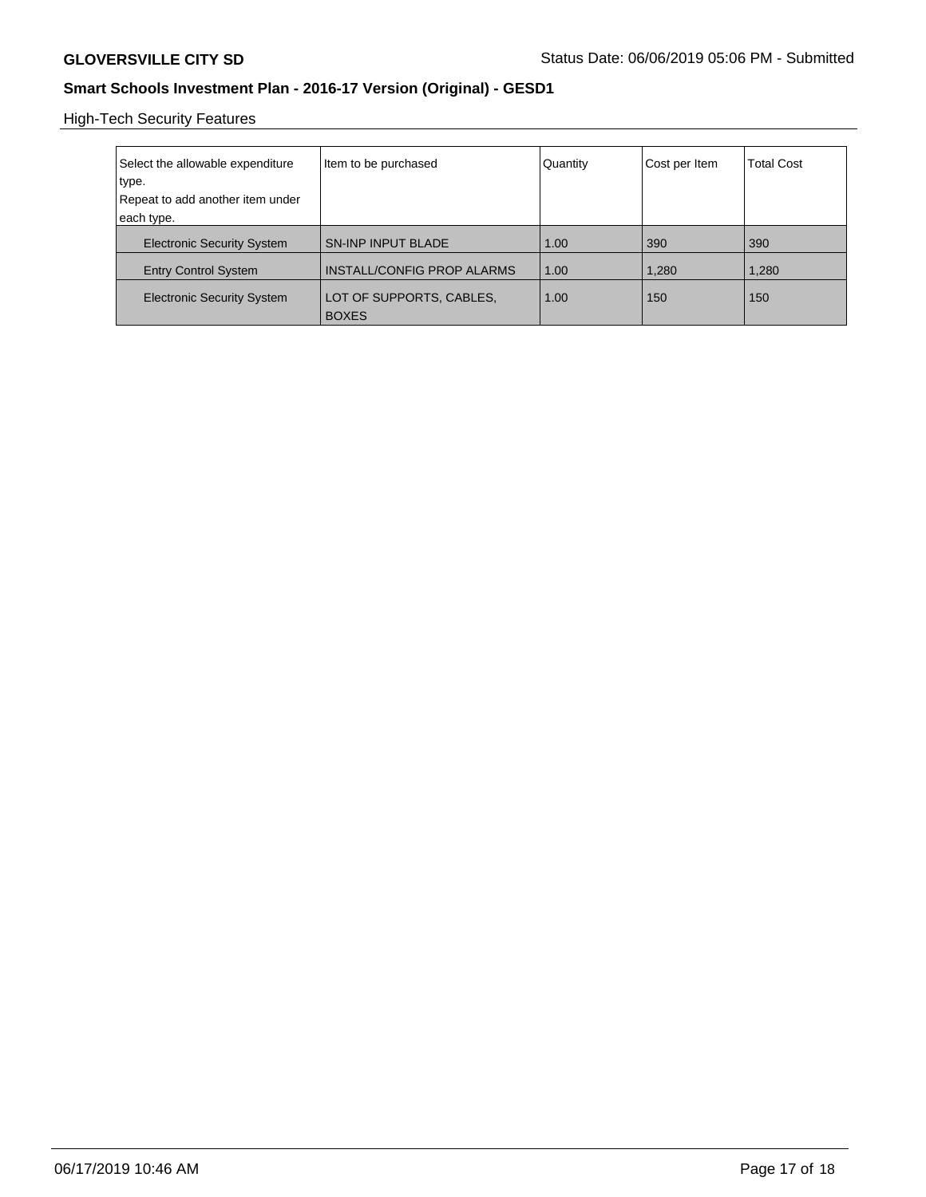High-Tech Security Features

| Select the allowable expenditure  | Item to be purchased                     | Quantity | Cost per Item | <b>Total Cost</b> |
|-----------------------------------|------------------------------------------|----------|---------------|-------------------|
| type.                             |                                          |          |               |                   |
| Repeat to add another item under  |                                          |          |               |                   |
| each type.                        |                                          |          |               |                   |
| <b>Electronic Security System</b> | <b>SN-INP INPUT BLADE</b>                | 1.00     | 390           | 390               |
| <b>Entry Control System</b>       | <b>INSTALL/CONFIG PROP ALARMS</b>        | 1.00     | 1,280         | 1,280             |
| <b>Electronic Security System</b> | LOT OF SUPPORTS, CABLES,<br><b>BOXES</b> | 1.00     | 150           | 150               |